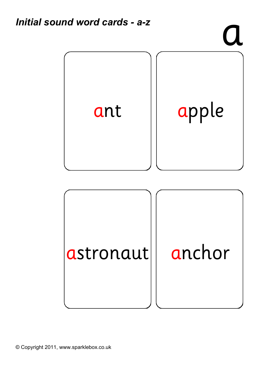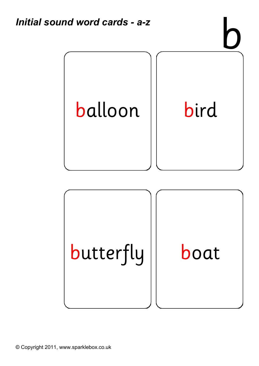

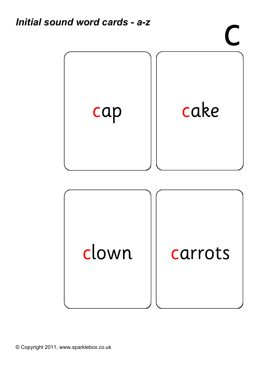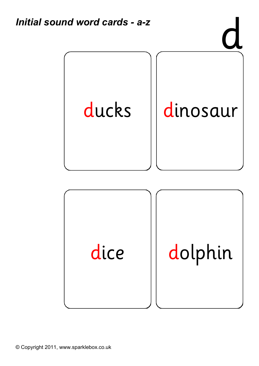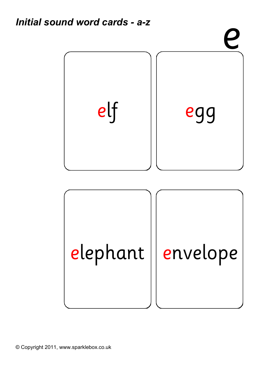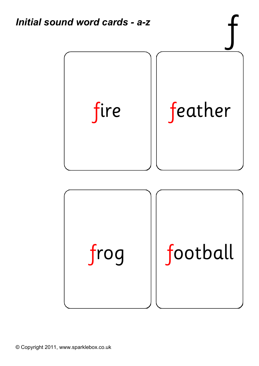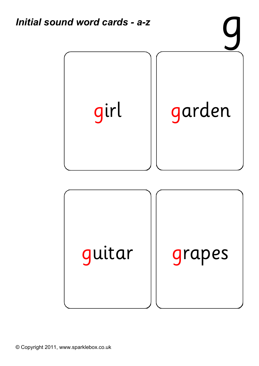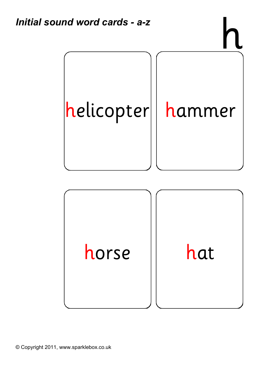

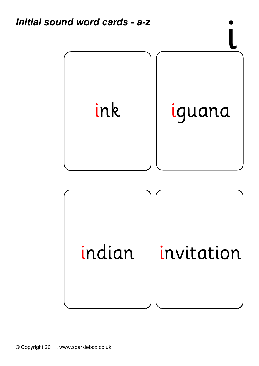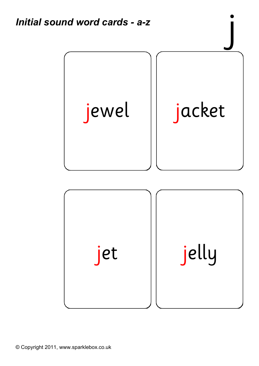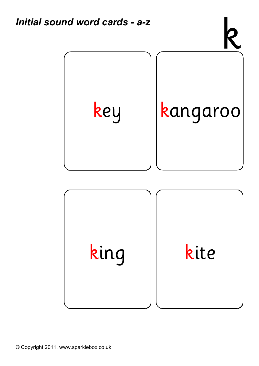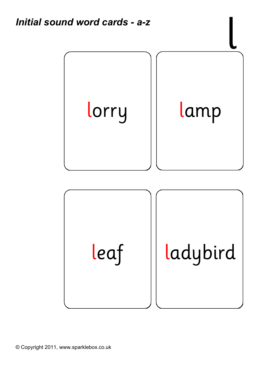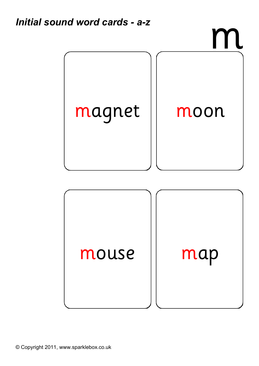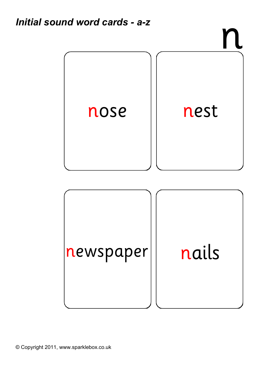

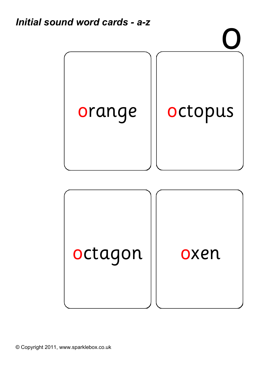

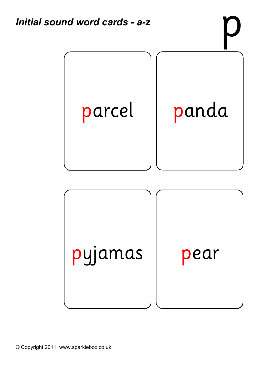

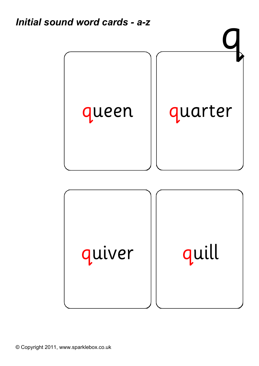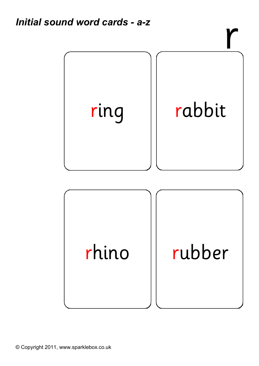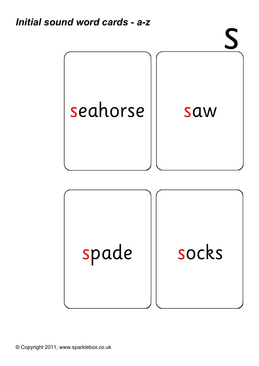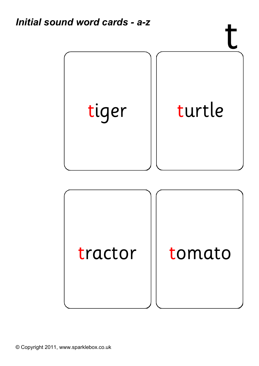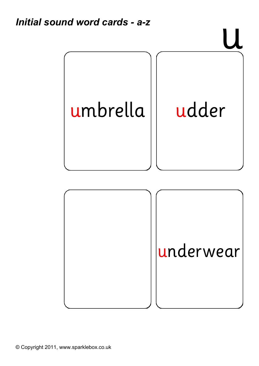![](_page_20_Picture_1.jpeg)

![](_page_20_Picture_2.jpeg)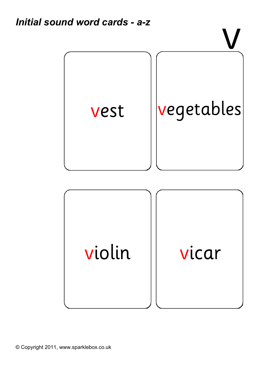![](_page_21_Picture_1.jpeg)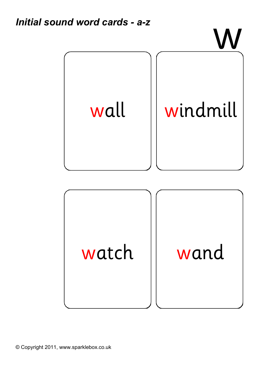![](_page_22_Picture_1.jpeg)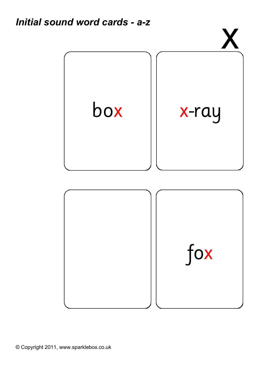![](_page_23_Picture_1.jpeg)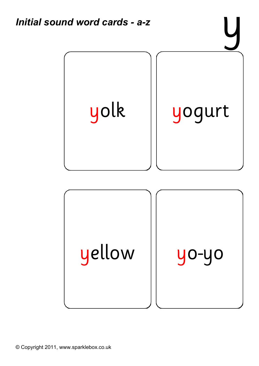![](_page_24_Picture_0.jpeg)